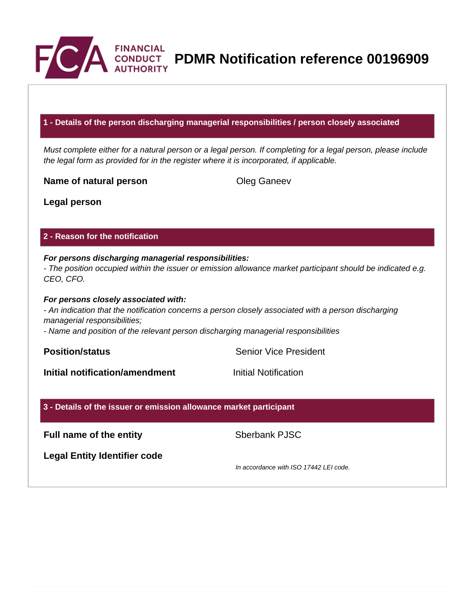

**CONDUCT PDMR Notification reference 00196909** 

## **1 - Details of the person discharging managerial responsibilities / person closely associated**

Must complete either for a natural person or a legal person. If completing for a legal person, please include the legal form as provided for in the register where it is incorporated, if applicable.

**Name of natural person Cleg Ganeev** 

**Legal person**

## **2 - Reason for the notification**

#### **For persons discharging managerial responsibilities:** - The position occupied within the issuer or emission allowance market participant should be indicated e.g. CEO, CFO.

#### **For persons closely associated with:**

- An indication that the notification concerns a person closely associated with a person discharging managerial responsibilities;

- Name and position of the relevant person discharging managerial responsibilities

**Position/status Senior Vice President** 

**Initial notification/amendment Initial Notification** 

### **3 - Details of the issuer or emission allowance market participant**

**Full name of the entity** Sberbank PJSC

**Legal Entity Identifier code**

In accordance with ISO 17442 LEI code.